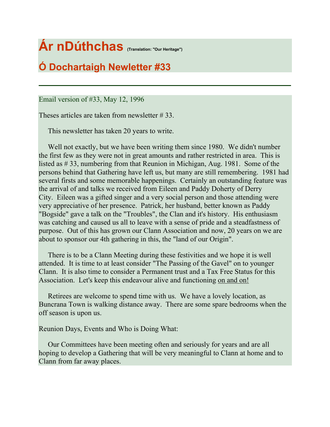# **Ár nDúthchas (Translation: "Our Heritage")**

# **Ó Dochartaigh Newletter #33**

Email version of #33, May 12, 1996

Theses articles are taken from newsletter # 33.

This newsletter has taken 20 years to write.

 Well not exactly, but we have been writing them since 1980. We didn't number the first few as they were not in great amounts and rather restricted in area. This is listed as # 33, numbering from that Reunion in Michigan, Aug. 1981. Some of the persons behind that Gathering have left us, but many are still remembering. 1981 had several firsts and some memorable happenings. Certainly an outstanding feature was the arrival of and talks we received from Eileen and Paddy Doherty of Derry City. Eileen was a gifted singer and a very social person and those attending were very appreciative of her presence. Patrick, her husband, better known as Paddy "Bogside" gave a talk on the "Troubles", the Clan and it's history. His enthusiasm was catching and caused us all to leave with a sense of pride and a steadfastness of purpose. Out of this has grown our Clann Association and now, 20 years on we are about to sponsor our 4th gathering in this, the "land of our Origin".

 There is to be a Clann Meeting during these festivities and we hope it is well attended. It is time to at least consider "The Passing of the Gavel" on to younger Clann. It is also time to consider a Permanent trust and a Tax Free Status for this Association. Let's keep this endeavour alive and functioning on and on!

 Retirees are welcome to spend time with us. We have a lovely location, as Buncrana Town is walking distance away. There are some spare bedrooms when the off season is upon us.

Reunion Days, Events and Who is Doing What:

 Our Committees have been meeting often and seriously for years and are all hoping to develop a Gathering that will be very meaningful to Clann at home and to Clann from far away places.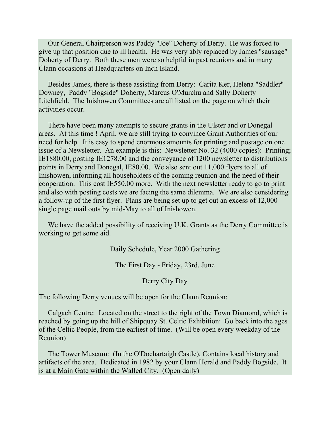Our General Chairperson was Paddy "Joe" Doherty of Derry. He was forced to give up that position due to ill health. He was very ably replaced by James "sausage" Doherty of Derry. Both these men were so helpful in past reunions and in many Clann occasions at Headquarters on Inch Island.

 Besides James, there is these assisting from Derry: Carita Ker, Helena "Saddler" Downey, Paddy "Bogside" Doherty, Marcus O'Murchu and Sally Doherty Litchfield. The Inishowen Committees are all listed on the page on which their activities occur.

 There have been many attempts to secure grants in the Ulster and or Donegal areas. At this time ! April, we are still trying to convince Grant Authorities of our need for help. It is easy to spend enormous amounts for printing and postage on one issue of a Newsletter. An example is this: Newsletter No. 32 (4000 copies): Printing; IE1880.00, posting IE1278.00 and the conveyance of 1200 newsletter to distributions points in Derry and Donegal, IE80.00. We also sent out 11,000 flyers to all of Inishowen, informing all householders of the coming reunion and the need of their cooperation. This cost IE550.00 more. With the next newsletter ready to go to print and also with posting costs we are facing the same dilemma. We are also considering a follow-up of the first flyer. Plans are being set up to get out an excess of 12,000 single page mail outs by mid-May to all of Inishowen.

 We have the added possibility of receiving U.K. Grants as the Derry Committee is working to get some aid.

Daily Schedule, Year 2000 Gathering

The First Day - Friday, 23rd. June

Derry City Day

The following Derry venues will be open for the Clann Reunion:

 Calgach Centre: Located on the street to the right of the Town Diamond, which is reached by going up the hill of Shipquay St. Celtic Exhibition: Go back into the ages of the Celtic People, from the earliest of time. (Will be open every weekday of the Reunion)

 The Tower Museum: (In the O'Dochartaigh Castle), Contains local history and artifacts of the area. Dedicated in 1982 by your Clann Herald and Paddy Bogside. It is at a Main Gate within the Walled City. (Open daily)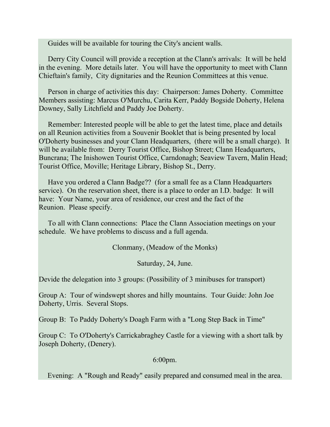Guides will be available for touring the City's ancient walls.

 Derry City Council will provide a reception at the Clann's arrivals: It will be held in the evening. More details later. You will have the opportunity to meet with Clann Chieftain's family, City dignitaries and the Reunion Committees at this venue.

 Person in charge of activities this day: Chairperson: James Doherty. Committee Members assisting: Marcus O'Murchu, Carita Kerr, Paddy Bogside Doherty, Helena Downey, Sally Litchfield and Paddy Joe Doherty.

 Remember: Interested people will be able to get the latest time, place and details on all Reunion activities from a Souvenir Booklet that is being presented by local O'Doherty businesses and your Clann Headquarters, (there will be a small charge). It will be available from: Derry Tourist Office, Bishop Street; Clann Headquarters, Buncrana; The Inishowen Tourist Office, Carndonagh; Seaview Tavern, Malin Head; Tourist Office, Moville; Heritage Library, Bishop St., Derry.

 Have you ordered a Clann Badge?? (for a small fee as a Clann Headquarters service). On the reservation sheet, there is a place to order an I.D. badge: It will have: Your Name, your area of residence, our crest and the fact of the Reunion. Please specify.

 To all with Clann connections: Place the Clann Association meetings on your schedule. We have problems to discuss and a full agenda.

Clonmany, (Meadow of the Monks)

Saturday, 24, June.

Devide the delegation into 3 groups: (Possibility of 3 minibuses for transport)

Group A: Tour of windswept shores and hilly mountains. Tour Guide: John Joe Doherty, Urris. Several Stops.

Group B: To Paddy Doherty's Doagh Farm with a "Long Step Back in Time"

Group C: To O'Doherty's Carrickabraghey Castle for a viewing with a short talk by Joseph Doherty, (Denery).

6:00pm.

Evening: A "Rough and Ready" easily prepared and consumed meal in the area.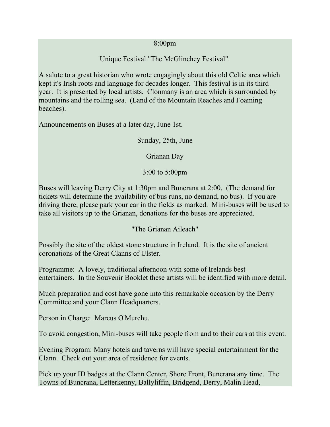#### 8:00pm

#### Unique Festival "The McGlinchey Festival".

A salute to a great historian who wrote engagingly about this old Celtic area which kept it's Irish roots and language for decades longer. This festival is in its third year. It is presented by local artists. Clonmany is an area which is surrounded by mountains and the rolling sea. (Land of the Mountain Reaches and Foaming beaches).

Announcements on Buses at a later day, June 1st.

Sunday, 25th, June

Grianan Day

3:00 to 5:00pm

Buses will leaving Derry City at 1:30pm and Buncrana at 2:00, (The demand for tickets will determine the availability of bus runs, no demand, no bus). If you are driving there, please park your car in the fields as marked. Mini-buses will be used to take all visitors up to the Grianan, donations for the buses are appreciated.

"The Grianan Aileach"

Possibly the site of the oldest stone structure in Ireland. It is the site of ancient coronations of the Great Clanns of Ulster.

Programme: A lovely, traditional afternoon with some of Irelands best entertainers. In the Souvenir Booklet these artists will be identified with more detail.

Much preparation and cost have gone into this remarkable occasion by the Derry Committee and your Clann Headquarters.

Person in Charge: Marcus O'Murchu.

To avoid congestion, Mini-buses will take people from and to their cars at this event.

Evening Program: Many hotels and taverns will have special entertainment for the Clann. Check out your area of residence for events.

Pick up your ID badges at the Clann Center, Shore Front, Buncrana any time. The Towns of Buncrana, Letterkenny, Ballyliffin, Bridgend, Derry, Malin Head,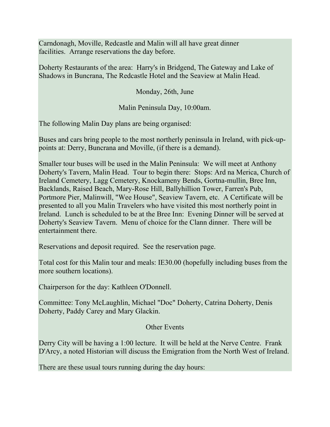Carndonagh, Moville, Redcastle and Malin will all have great dinner facilities. Arrange reservations the day before.

Doherty Restaurants of the area: Harry's in Bridgend, The Gateway and Lake of Shadows in Buncrana, The Redcastle Hotel and the Seaview at Malin Head.

Monday, 26th, June

Malin Peninsula Day, 10:00am.

The following Malin Day plans are being organised:

Buses and cars bring people to the most northerly peninsula in Ireland, with pick-uppoints at: Derry, Buncrana and Moville, (if there is a demand).

Smaller tour buses will be used in the Malin Peninsula: We will meet at Anthony Doherty's Tavern, Malin Head. Tour to begin there: Stops: Ard na Merica, Church of Ireland Cemetery, Lagg Cemetery, Knockameny Bends, Gortna-mullin, Bree Inn, Backlands, Raised Beach, Mary-Rose Hill, Ballyhillion Tower, Farren's Pub, Portmore Pier, Malinwill, "Wee House", Seaview Tavern, etc. A Certificate will be presented to all you Malin Travelers who have visited this most northerly point in Ireland. Lunch is scheduled to be at the Bree Inn: Evening Dinner will be served at Doherty's Seaview Tavern. Menu of choice for the Clann dinner. There will be entertainment there.

Reservations and deposit required. See the reservation page.

Total cost for this Malin tour and meals: IE30.00 (hopefully including buses from the more southern locations).

Chairperson for the day: Kathleen O'Donnell.

Committee: Tony McLaughlin, Michael "Doc" Doherty, Catrina Doherty, Denis Doherty, Paddy Carey and Mary Glackin.

#### Other Events

Derry City will be having a 1:00 lecture. It will be held at the Nerve Centre. Frank D'Arcy, a noted Historian will discuss the Emigration from the North West of Ireland.

There are these usual tours running during the day hours: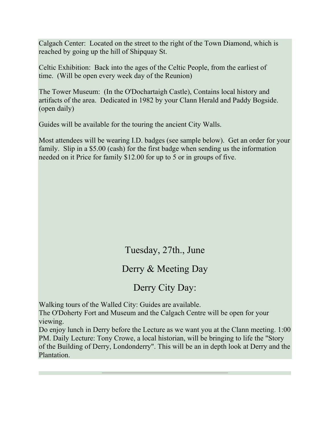Calgach Center: Located on the street to the right of the Town Diamond, which is reached by going up the hill of Shipquay St.

Celtic Exhibition: Back into the ages of the Celtic People, from the earliest of time. (Will be open every week day of the Reunion)

The Tower Museum: (In the O'Dochartaigh Castle), Contains local history and artifacts of the area. Dedicated in 1982 by your Clann Herald and Paddy Bogside. (open daily)

Guides will be available for the touring the ancient City Walls.

Most attendees will be wearing I.D. badges (see sample below). Get an order for your family. Slip in a \$5.00 (cash) for the first badge when sending us the information needed on it Price for family \$12.00 for up to 5 or in groups of five.

#### Tuesday, 27th., June

#### Derry & Meeting Day

# Derry City Day:

Walking tours of the Walled City: Guides are available.

The O'Doherty Fort and Museum and the Calgach Centre will be open for your viewing.

Do enjoy lunch in Derry before the Lecture as we want you at the Clann meeting. 1:00 PM. Daily Lecture: Tony Crowe, a local historian, will be bringing to life the "Story of the Building of Derry, Londonderry". This will be an in depth look at Derry and the Plantation.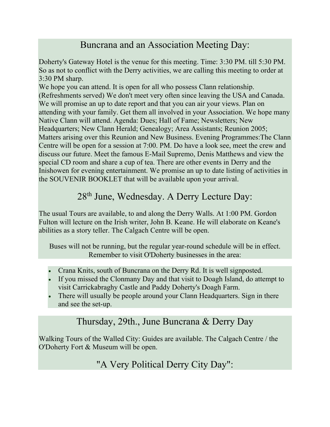# Buncrana and an Association Meeting Day:

Doherty's Gateway Hotel is the venue for this meeting. Time: 3:30 PM. till 5:30 PM. So as not to conflict with the Derry activities, we are calling this meeting to order at 3:30 PM sharp.

We hope you can attend. It is open for all who possess Clann relationship. (Refreshments served) We don't meet very often since leaving the USA and Canada. We will promise an up to date report and that you can air your views. Plan on attending with your family. Get them all involved in your Association. We hope many Native Clann will attend. Agenda: Dues; Hall of Fame; Newsletters; New Headquarters; New Clann Herald; Genealogy; Area Assistants; Reunion 2005; Matters arising over this Reunion and New Business. Evening Programmes:The Clann Centre will be open for a session at 7:00. PM. Do have a look see, meet the crew and discuss our future. Meet the famous E-Mail Supremo, Denis Matthews and view the special CD room and share a cup of tea. There are other events in Derry and the Inishowen for evening entertainment. We promise an up to date listing of activities in the SOUVENIR BOOKLET that will be available upon your arrival.

# 28<sup>th</sup> June, Wednesday. A Derry Lecture Day:

The usual Tours are available, to and along the Derry Walls. At 1:00 PM. Gordon Fulton will lecture on the Irish writer, John B. Keane. He will elaborate on Keane's abilities as a story teller. The Calgach Centre will be open.

Buses will not be running, but the regular year-round schedule will be in effect. Remember to visit O'Doherty businesses in the area:

- Crana Knits, south of Buncrana on the Derry Rd. It is well signposted.
- If you missed the Clonmany Day and that visit to Doagh Island, do attempt to visit Carrickabraghy Castle and Paddy Doherty's Doagh Farm.
- There will usually be people around your Clann Headquarters. Sign in there and see the set-up.

#### Thursday, 29th., June Buncrana & Derry Day

Walking Tours of the Walled City: Guides are available. The Calgach Centre / the O'Doherty Fort & Museum will be open.

# "A Very Political Derry City Day":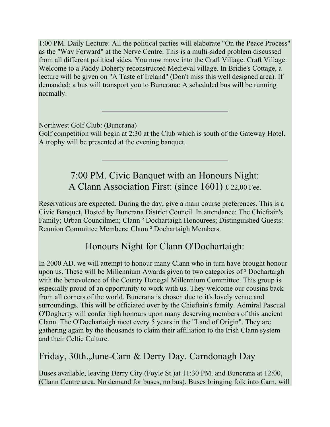1:00 PM. Daily Lecture: All the political parties will elaborate "On the Peace Process" as the "Way Forward" at the Nerve Centre. This is a multi-sided problem discussed from all different political sides. You now move into the Craft Village. Craft Village: Welcome to a Paddy Doherty reconstructed Medieval village. In Bridie's Cottage, a lecture will be given on "A Taste of Ireland" (Don't miss this well designed area). If demanded: a bus will transport you to Buncrana: A scheduled bus will be running normally.

Northwest Golf Club: (Buncrana)

Golf competition will begin at 2:30 at the Club which is south of the Gateway Hotel. A trophy will be presented at the evening banquet.

# 7:00 PM. Civic Banquet with an Honours Night: A Clann Association First: (since 1601) £ 22,00 Fee.

Reservations are expected. During the day, give a main course preferences. This is a Civic Banquet, Hosted by Buncrana District Council. In attendance: The Chieftain's Family; Urban Councilmen; Clann ² Dochartaigh Honourees; Distinguished Guests: Reunion Committee Members; Clann ² Dochartaigh Members.

# Honours Night for Clann O'Dochartaigh:

In 2000 AD. we will attempt to honour many Clann who in turn have brought honour upon us. These will be Millennium Awards given to two categories of ² Dochartaigh with the benevolence of the County Donegal Millennium Committee. This group is especially proud of an opportunity to work with us. They welcome our cousins back from all corners of the world. Buncrana is chosen due to it's lovely venue and surroundings. This will be officiated over by the Chieftain's family. Admiral Pascual O'Dogherty will confer high honours upon many deserving members of this ancient Clann. The O'Dochartaigh meet every 5 years in the "Land of Origin". They are gathering again by the thousands to claim their affiliation to the Irish Clann system and their Celtic Culture.

# Friday, 30th.,June-Carn & Derry Day. Carndonagh Day

Buses available, leaving Derry City (Foyle St.)at 11:30 PM. and Buncrana at 12:00, (Clann Centre area. No demand for buses, no bus). Buses bringing folk into Carn. will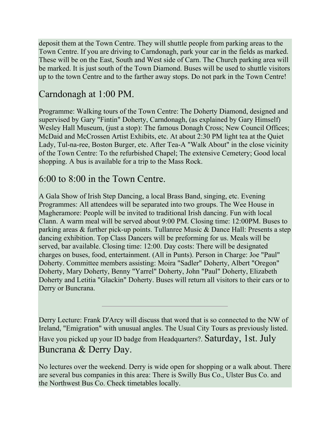deposit them at the Town Centre. They will shuttle people from parking areas to the Town Centre. If you are driving to Carndonagh, park your car in the fields as marked. These will be on the East, South and West side of Carn. The Church parking area will be marked. It is just south of the Town Diamond. Buses will be used to shuttle visitors up to the town Centre and to the farther away stops. Do not park in the Town Centre!

# Carndonagh at 1:00 PM.

Programme: Walking tours of the Town Centre: The Doherty Diamond, designed and supervised by Gary "Fintin" Doherty, Carndonagh, (as explained by Gary Himself) Wesley Hall Museum, (just a stop): The famous Donagh Cross; New Council Offices; McDaid and McCrossen Artist Exhibits, etc. At about 2:30 PM light tea at the Quiet Lady, Tul-na-ree, Boston Burger, etc. After Tea-A "Walk About" in the close vicinity of the Town Centre: To the refurbished Chapel; The extensive Cemetery; Good local shopping. A bus is available for a trip to the Mass Rock.

#### 6:00 to 8:00 in the Town Centre.

A Gala Show of Irish Step Dancing, a local Brass Band, singing, etc. Evening Programmes: All attendees will be separated into two groups. The Wee House in Magheramore: People will be invited to traditional Irish dancing. Fun with local Clann. A warm meal will be served about 9:00 PM. Closing time: 12:00PM. Buses to parking areas & further pick-up points. Tullanree Music & Dance Hall: Presents a step dancing exhibition. Top Class Dancers will be preforming for us. Meals will be served, bar available. Closing time: 12:00. Day costs: There will be designated charges on buses, food, entertainment. (All in Punts). Person in Charge: Joe "Paul" Doherty. Committee members assisting: Moira "Sadler" Doherty, Albert "Oregon" Doherty, Mary Doherty, Benny "Yarrel" Doherty, John "Paul" Doherty, Elizabeth Doherty and Letitia "Glackin" Doherty. Buses will return all visitors to their cars or to Derry or Buncrana.

Derry Lecture: Frank D'Arcy will discuss that word that is so connected to the NW of Ireland, "Emigration" with unusual angles. The Usual City Tours as previously listed. Have you picked up your ID badge from Headquarters?. Saturday, 1st. July Buncrana & Derry Day.

No lectures over the weekend. Derry is wide open for shopping or a walk about. There are several bus companies in this area: There is Swilly Bus Co., Ulster Bus Co. and the Northwest Bus Co. Check timetables locally.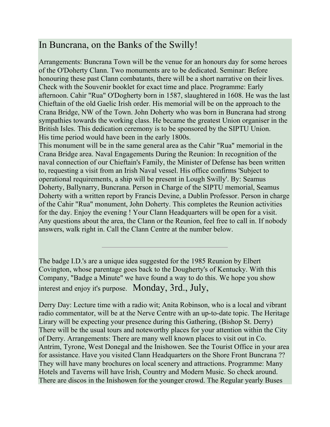# In Buncrana, on the Banks of the Swilly!

Arrangements: Buncrana Town will be the venue for an honours day for some heroes of the O'Doherty Clann. Two monuments are to be dedicated. Seminar: Before honouring these past Clann combatants, there will be a short narrative on their lives. Check with the Souvenir booklet for exact time and place. Programme: Early afternoon. Cahir "Rua" O'Dogherty born in 1587, slaughtered in 1608. He was the last Chieftain of the old Gaelic Irish order. His memorial will be on the approach to the Crana Bridge, NW of the Town. John Doherty who was born in Buncrana had strong sympathies towards the working class. He became the greatest Union organiser in the British Isles. This dedication ceremony is to be sponsored by the SIPTU Union. His time period would have been in the early 1800s.

This monument will be in the same general area as the Cahir "Rua" memorial in the Crana Bridge area. Naval Engagements During the Reunion: In recognition of the naval connection of our Chieftain's Family, the Minister of Defense has been written to, requesting a visit from an Irish Naval vessel. His office confirms 'Subject to operational requirements, a ship will be present in Lough Swilly'. By: Seamus Doherty, Ballynarry, Buncrana. Person in Charge of the SIPTU memorial, Seamus Doherty with a written report by Francis Devine, a Dublin Professor. Person in charge of the Cahir "Rua" monument, John Doherty. This completes the Reunion activities for the day. Enjoy the evening ! Your Clann Headquarters will be open for a visit. Any questions about the area, the Clann or the Reunion, feel free to call in. If nobody answers, walk right in. Call the Clann Centre at the number below.

The badge I.D.'s are a unique idea suggested for the 1985 Reunion by Elbert Covington, whose parentage goes back to the Dougherty's of Kentucky. With this Company, "Badge a Minute" we have found a way to do this. We hope you show interest and enjoy it's purpose. Monday, 3rd., July,

Derry Day: Lecture time with a radio wit; Anita Robinson, who is a local and vibrant radio commentator, will be at the Nerve Centre with an up-to-date topic. The Heritage Lirary will be expecting your presence during this Gathering, (Bishop St. Derry) There will be the usual tours and noteworthy places for your attention within the City of Derry. Arrangements: There are many well known places to visit out in Co. Antrim, Tyrone, West Donegal and the Inishowen. See the Tourist Office in your area for assistance. Have you visited Clann Headquarters on the Shore Front Buncrana ?? They will have many brochures on local scenery and attractions. Programme: Many Hotels and Taverns will have Irish, Country and Modern Music. So check around. There are discos in the Inishowen for the younger crowd. The Regular yearly Buses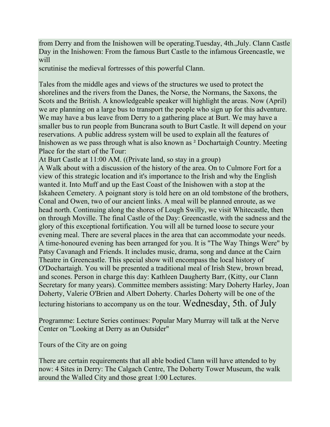from Derry and from the Inishowen will be operating.Tuesday, 4th.,July. Clann Castle Day in the Inishowen: From the famous Burt Castle to the infamous Greencastle, we will

scrutinise the medieval fortresses of this powerful Clann.

Tales from the middle ages and views of the structures we used to protect the shorelines and the rivers from the Danes, the Norse, the Normans, the Saxons, the Scots and the British. A knowledgeable speaker will highlight the areas. Now (April) we are planning on a large bus to transport the people who sign up for this adventure. We may have a bus leave from Derry to a gathering place at Burt. We may have a smaller bus to run people from Buncrana south to Burt Castle. It will depend on your reservations. A public address system will be used to explain all the features of Inishowen as we pass through what is also known as ² Dochartaigh Country. Meeting Place for the start of the Tour:

At Burt Castle at 11:00 AM. ((Private land, so stay in a group)

A Walk about with a discussion of the history of the area. On to Culmore Fort for a view of this strategic location and it's importance to the Irish and why the English wanted it. Into Muff and up the East Coast of the Inishowen with a stop at the Iskaheen Cemetery. A poignant story is told here on an old tombstone of the brothers, Conal and Owen, two of our ancient links. A meal will be planned enroute, as we head north. Continuing along the shores of Lough Swilly, we visit Whitecastle, then on through Moville. The final Castle of the Day: Greencastle, with the sadness and the glory of this exceptional fortification. You will all be turned loose to secure your evening meal. There are several places in the area that can accommodate your needs. A time-honoured evening has been arranged for you. It is "The Way Things Were" by Patsy Cavanagh and Friends. It includes music, drama, song and dance at the Cairn Theatre in Greencastle. This special show will encompass the local history of O'Dochartaigh. You will be presented a traditional meal of Irish Stew, brown bread, and scones. Person in charge this day: Kathleen Daugherty Barr, (Kitty, our Clann Secretary for many years). Committee members assisting: Mary Doherty Harley, Joan Doherty, Valerie O'Brien and Albert Doherty. Charles Doherty will be one of the lecturing historians to accompany us on the tour. Wednesday, 5th. of July

Programme: Lecture Series continues: Popular Mary Murray will talk at the Nerve Center on "Looking at Derry as an Outsider"

Tours of the City are on going

There are certain requirements that all able bodied Clann will have attended to by now: 4 Sites in Derry: The Calgach Centre, The Doherty Tower Museum, the walk around the Walled City and those great 1:00 Lectures.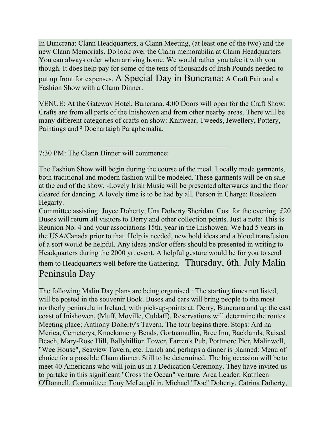In Buncrana: Clann Headquarters, a Clann Meeting, (at least one of the two) and the new Clann Memorials. Do look over the Clann memorabilia at Clann Headquarters You can always order when arriving home. We would rather you take it with you though. It does help pay for some of the tens of thousands of Irish Pounds needed to put up front for expenses. A Special Day in Buncrana: A Craft Fair and a Fashion Show with a Clann Dinner.

VENUE: At the Gateway Hotel, Buncrana. 4:00 Doors will open for the Craft Show: Crafts are from all parts of the Inishowen and from other nearby areas. There will be many different categories of crafts on show: Knitwear, Tweeds, Jewellery, Pottery, Paintings and ² Dochartaigh Paraphernalia.

7:30 PM: The Clann Dinner will commence:

The Fashion Show will begin during the course of the meal. Locally made garments, both traditional and modern fashion will be modeled. These garments will be on sale at the end of the show. -Lovely Irish Music will be presented afterwards and the floor cleared for dancing. A lovely time is to be had by all. Person in Charge: Rosaleen Hegarty.

Committee assisting: Joyce Doherty, Una Doherty Sheridan. Cost for the evening: £20 Buses will return all visitors to Derry and other collection points. Just a note: This is Reunion No. 4 and your associations 15th. year in the Inishowen. We had 5 years in the USA/Canada prior to that. Help is needed, new bold ideas and a blood transfusion of a sort would be helpful. Any ideas and/or offers should be presented in writing to Headquarters during the 2000 yr. event. A helpful gesture would be for you to send them to Headquarters well before the Gathering. Thursday, 6th. July Malin Peninsula Day

The following Malin Day plans are being organised : The starting times not listed, will be posted in the souvenir Book. Buses and cars will bring people to the most northerly peninsula in Ireland, with pick-up-points at: Derry, Buncrana and up the east coast of Inishowen, (Muff, Moville, Culdaff). Reservations will determine the routes. Meeting place: Anthony Doherty's Tavern. The tour begins there. Stops: Ard na Merica, Cemeterys, Knockameny Bends, Gortnamullin, Bree Inn, Backlands, Raised Beach, Mary-Rose Hill, Ballyhillion Tower, Farren's Pub, Portmore Pier, Malinwell, "Wee House", Seaview Tavern, etc. Lunch and perhaps a dinner is planned: Menu of choice for a possible Clann dinner. Still to be determined. The big occasion will be to meet 40 Americans who will join us in a Dedication Ceremony. They have invited us to partake in this significant "Cross the Ocean" venture. Area Leader: Kathleen O'Donnell. Committee: Tony McLaughlin, Michael "Doc" Doherty, Catrina Doherty,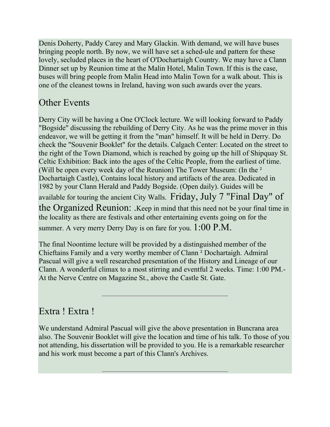Denis Doherty, Paddy Carey and Mary Glackin. With demand, we will have buses bringing people north. By now, we will have set a sched-ule and pattern for these lovely, secluded places in the heart of O'Dochartaigh Country. We may have a Clann Dinner set up by Reunion time at the Malin Hotel, Malin Town. If this is the case, buses will bring people from Malin Head into Malin Town for a walk about. This is one of the cleanest towns in Ireland, having won such awards over the years.

# Other Events

Derry City will be having a One O'Clock lecture. We will looking forward to Paddy "Bogside" discussing the rebuilding of Derry City. As he was the prime mover in this endeavor, we will be getting it from the "man" himself. It will be held in Derry. Do check the "Souvenir Booklet" for the details. Calgach Center: Located on the street to the right of the Town Diamond, which is reached by going up the hill of Shipquay St. Celtic Exhibition: Back into the ages of the Celtic People, from the earliest of time. (Will be open every week day of the Reunion) The Tower Museum: (In the <sup>2</sup> Dochartaigh Castle), Contains local history and artifacts of the area. Dedicated in 1982 by your Clann Herald and Paddy Bogside. (Open daily). Guides will be available for touring the ancient City Walls. Friday, July 7 "Final Day" of the Organized Reunion: .Keep in mind that this need not be your final time in the locality as there are festivals and other entertaining events going on for the summer. A very merry Derry Day is on fare for you.  $1:00 \text{ P.M.}$ 

The final Noontime lecture will be provided by a distinguished member of the Chieftains Family and a very worthy member of Clann ² Dochartaigh. Admiral Pascual will give a well researched presentation of the History and Lineage of our Clann. A wonderful climax to a most stirring and eventful 2 weeks. Time: 1:00 PM.- At the Nerve Centre on Magazine St., above the Castle St. Gate.

# Extra ! Extra !

We understand Admiral Pascual will give the above presentation in Buncrana area also. The Souvenir Booklet will give the location and time of his talk. To those of you not attending, his dissertation will be provided to you. He is a remarkable researcher and his work must become a part of this Clann's Archives.